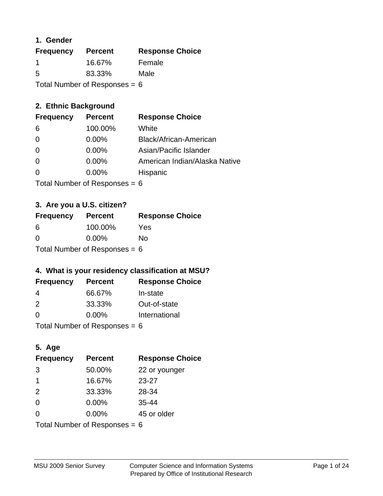## **1. Gender**

| <b>Frequency</b>                | <b>Percent</b> | <b>Response Choice</b> |
|---------------------------------|----------------|------------------------|
| -1                              | 16.67%         | Female                 |
| 5                               | 83.33%         | Male                   |
| Total Number of Responses = $6$ |                |                        |

## **2. Ethnic Background**

| <b>Frequency</b> | <b>Percent</b> | <b>Response Choice</b>        |
|------------------|----------------|-------------------------------|
| -6               | 100.00%        | White                         |
| $\Omega$         | $0.00\%$       | Black/African-American        |
| $\Omega$         | $0.00\%$       | Asian/Pacific Islander        |
| $\Omega$         | $0.00\%$       | American Indian/Alaska Native |
|                  | $0.00\%$       | Hispanic                      |
|                  |                |                               |

Total Number of Responses = 6

## **3. Are you a U.S. citizen?**

| <b>Frequency</b>                | <b>Percent</b> | <b>Response Choice</b> |
|---------------------------------|----------------|------------------------|
| 6                               | 100.00%        | Yes                    |
| $\Omega$                        | $0.00\%$       | No                     |
| Total Number of Responses = $6$ |                |                        |

## **4. What is your residency classification at MSU?**

| <b>Frequency</b> | <b>Percent</b> | <b>Response Choice</b> |
|------------------|----------------|------------------------|
| -4               | 66.67%         | In-state               |
| $\mathcal{P}$    | 33.33%         | Out-of-state           |
| $\Omega$         | $0.00\%$       | International          |
|                  |                |                        |

Total Number of Responses = 6

## **5. Age**

| <b>Frequency</b>                | <b>Percent</b> | <b>Response Choice</b> |
|---------------------------------|----------------|------------------------|
| 3                               | 50.00%         | 22 or younger          |
| 1                               | 16.67%         | $23 - 27$              |
| 2                               | 33.33%         | 28-34                  |
| $\Omega$                        | 0.00%          | $35 - 44$              |
| $\Omega$                        | $0.00\%$       | 45 or older            |
| Total Number of Responses = $6$ |                |                        |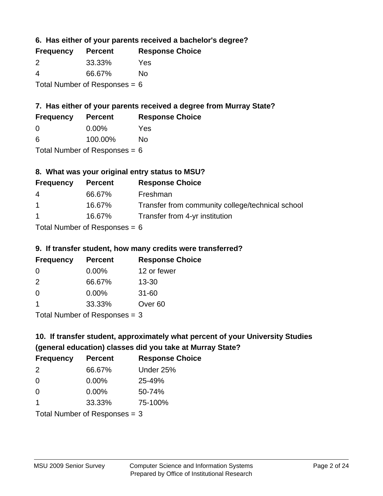**6. Has either of your parents received a bachelor's degree?**

| <b>Frequency</b>                | <b>Percent</b> | <b>Response Choice</b> |
|---------------------------------|----------------|------------------------|
| 2                               | 33.33%         | Yes                    |
| $\boldsymbol{\Delta}$           | 66.67%         | No                     |
| Total Number of Responses = $6$ |                |                        |

## **7. Has either of your parents received a degree from Murray State?**

| <b>Frequency</b> | <b>Percent</b> | <b>Response Choice</b> |
|------------------|----------------|------------------------|
| <u>_0</u>        | $0.00\%$       | Yes                    |

| 6 | 100.00% | <b>No</b> |
|---|---------|-----------|

Total Number of Responses = 6

# **8. What was your original entry status to MSU?**

| <b>Frequency</b> | <b>Percent</b>                                                           | <b>Response Choice</b>                           |
|------------------|--------------------------------------------------------------------------|--------------------------------------------------|
| 4                | 66.67%                                                                   | Freshman                                         |
| $\overline{1}$   | 16.67%                                                                   | Transfer from community college/technical school |
| $\overline{1}$   | 16.67%                                                                   | Transfer from 4-yr institution                   |
|                  | $T_{\rm eff}$ . The state of $R_{\rm eff}$ is the state of $R_{\rm eff}$ |                                                  |

Total Number of Responses = 6

### **9. If transfer student, how many credits were transferred?**

| <b>Frequency</b>              | <b>Percent</b> | <b>Response Choice</b> |
|-------------------------------|----------------|------------------------|
| -0                            | $0.00\%$       | 12 or fewer            |
| $\mathcal{P}$                 | 66.67%         | $13 - 30$              |
| 0                             | $0.00\%$       | $31 - 60$              |
|                               | 33.33%         | Over <sub>60</sub>     |
| $Total Number of Doepopoog -$ |                |                        |

I otal Number of Responses  $=$  3

# **10. If transfer student, approximately what percent of your University Studies (general education) classes did you take at Murray State?**

| <b>Frequency</b>                | <b>Percent</b> | <b>Response Choice</b> |
|---------------------------------|----------------|------------------------|
| 2                               | 66.67%         | Under 25%              |
| $\overline{0}$                  | $0.00\%$       | 25-49%                 |
| $\Omega$                        | $0.00\%$       | 50-74%                 |
| 1                               | 33.33%         | 75-100%                |
| Total Number of Responses $=$ 3 |                |                        |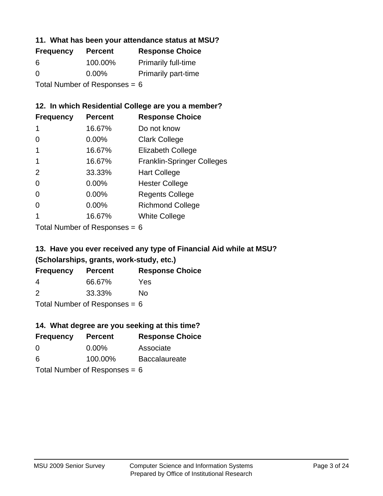#### **11. What has been your attendance status at MSU?**

| <b>Frequency</b>                | <b>Percent</b> | <b>Response Choice</b>     |
|---------------------------------|----------------|----------------------------|
| 6                               | 100.00%        | <b>Primarily full-time</b> |
| $\Omega$                        | $0.00\%$       | <b>Primarily part-time</b> |
| Total Number of Responses = $6$ |                |                            |

## **12. In which Residential College are you a member?**

| <b>Frequency</b> | <b>Percent</b> | <b>Response Choice</b>            |
|------------------|----------------|-----------------------------------|
| 1                | 16.67%         | Do not know                       |
| 0                | 0.00%          | <b>Clark College</b>              |
| 1                | 16.67%         | <b>Elizabeth College</b>          |
|                  | 16.67%         | <b>Franklin-Springer Colleges</b> |
| 2                | 33.33%         | <b>Hart College</b>               |
| 0                | $0.00\%$       | <b>Hester College</b>             |
| 0                | 0.00%          | <b>Regents College</b>            |
| 0                | 0.00%          | <b>Richmond College</b>           |
|                  | 16.67%         | <b>White College</b>              |

Total Number of Responses = 6

# **13. Have you ever received any type of Financial Aid while at MSU? (Scholarships, grants, work-study, etc.)**

| <b>Frequency</b> | <b>Percent</b>              | <b>Response Choice</b> |
|------------------|-----------------------------|------------------------|
| 4                | 66.67%                      | Yes                    |
| 2                | 33.33%                      | Nο                     |
|                  | Tatal Massakan af Dagmannar |                        |

Total Number of Responses = 6

## **14. What degree are you seeking at this time?**

| <b>Frequency</b> | <b>Percent</b>                  | <b>Response Choice</b> |
|------------------|---------------------------------|------------------------|
| 0                | $0.00\%$                        | Associate              |
| 6                | 100.00%                         | <b>Baccalaureate</b>   |
|                  | Total Number of Responses = $6$ |                        |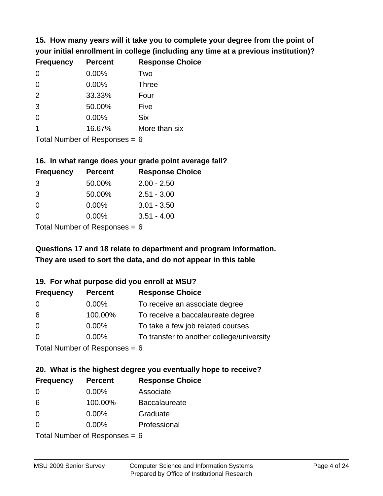**15. How many years will it take you to complete your degree from the point of your initial enrollment in college (including any time at a previous institution)?**

| <b>Frequency</b> | <b>Percent</b> | <b>Response Choice</b> |
|------------------|----------------|------------------------|
| $\Omega$         | 0.00%          | Two                    |
| 0                | 0.00%          | <b>Three</b>           |
| 2                | 33.33%         | Four                   |
| 3                | 50.00%         | Five                   |
| 0                | 0.00%          | <b>Six</b>             |
|                  | 16.67%         | More than six          |
|                  |                |                        |

Total Number of Responses  $= 6$ 

#### **16. In what range does your grade point average fall?**

| <b>Frequency</b> | <b>Percent</b>               | <b>Response Choice</b> |
|------------------|------------------------------|------------------------|
| -3               | 50.00%                       | $2.00 - 2.50$          |
| -3               | 50.00%                       | $2.51 - 3.00$          |
| 0                | 0.00%                        | $3.01 - 3.50$          |
| 0                | 0.00%                        | $3.51 - 4.00$          |
|                  | $\tau$ . The state of $\sim$ |                        |

Total Number of Responses = 6

# **They are used to sort the data, and do not appear in this table Questions 17 and 18 relate to department and program information.**

#### **19. For what purpose did you enroll at MSU?**

| <b>Frequency</b>            | <b>Percent</b> | <b>Response Choice</b>                    |
|-----------------------------|----------------|-------------------------------------------|
| 0                           | $0.00\%$       | To receive an associate degree            |
| 6                           | 100.00%        | To receive a baccalaureate degree         |
| $\overline{0}$              | $0.00\%$       | To take a few job related courses         |
| $\Omega$                    | 0.00%          | To transfer to another college/university |
| Total Number of Deepensee C |                |                                           |

I otal Number of Responses  $= 6$ 

# **20. What is the highest degree you eventually hope to receive?**

| <b>Frequency</b> | <b>Percent</b>            | <b>Response Choice</b> |
|------------------|---------------------------|------------------------|
| 0                | $0.00\%$                  | Associate              |
| 6                | 100.00%                   | <b>Baccalaureate</b>   |
| $\overline{0}$   | $0.00\%$                  | Graduate               |
| $\Omega$         | 0.00%                     | Professional           |
|                  | Total Number of Deepensee |                        |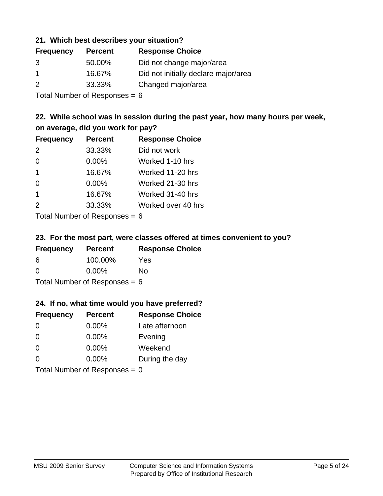#### **21. Which best describes your situation?**

| <b>Frequency</b> | <b>Percent</b> | <b>Response Choice</b>               |
|------------------|----------------|--------------------------------------|
| 3                | 50.00%         | Did not change major/area            |
|                  | 16.67%         | Did not initially declare major/area |
| 2                | 33.33%         | Changed major/area                   |

Total Number of Responses = 6

## **22. While school was in session during the past year, how many hours per week, on average, did you work for pay?**

| <b>Frequency</b> | <b>Percent</b> | <b>Response Choice</b> |
|------------------|----------------|------------------------|
| 2                | 33.33%         | Did not work           |
| $\Omega$         | $0.00\%$       | Worked 1-10 hrs        |
| $\mathbf 1$      | 16.67%         | Worked 11-20 hrs       |
| $\Omega$         | 0.00%          | Worked 21-30 hrs       |
| $\mathbf 1$      | 16.67%         | Worked 31-40 hrs       |
| 2                | 33.33%         | Worked over 40 hrs     |
|                  |                |                        |

Total Number of Responses = 6

#### **23. For the most part, were classes offered at times convenient to you?**

| <b>Frequency</b>                | <b>Percent</b> | <b>Response Choice</b> |
|---------------------------------|----------------|------------------------|
| 6                               | 100.00%        | Yes                    |
| $\Omega$                        | $0.00\%$       | Nο                     |
| Total Number of Responses = $6$ |                |                        |

#### **24. If no, what time would you have preferred?**

| <b>Frequency</b> | <b>Percent</b>                  | <b>Response Choice</b> |
|------------------|---------------------------------|------------------------|
| $\Omega$         | $0.00\%$                        | Late afternoon         |
| $\Omega$         | 0.00%                           | Evening                |
| 0                | $0.00\%$                        | Weekend                |
| $\Omega$         | $0.00\%$                        | During the day         |
|                  | Total Number of Responses = $0$ |                        |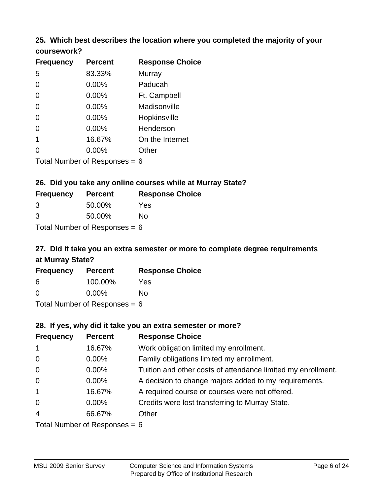#### **25. Which best describes the location where you completed the majority of your coursework?**

| <b>Frequency</b> | <b>Percent</b>             | <b>Response Choice</b> |
|------------------|----------------------------|------------------------|
| 5                | 83.33%                     | Murray                 |
| 0                | 0.00%                      | Paducah                |
| 0                | 0.00%                      | Ft. Campbell           |
| 0                | 0.00%                      | Madisonville           |
| 0                | 0.00%                      | Hopkinsville           |
| 0                | 0.00%                      | Henderson              |
| 1                | 16.67%                     | On the Internet        |
| 0                | 0.00%                      | Other                  |
|                  | Total Number of Deepersoon |                        |

Total Number of Responses = 6

#### **26. Did you take any online courses while at Murray State?**

| <b>Frequency</b>                | <b>Percent</b> | <b>Response Choice</b> |
|---------------------------------|----------------|------------------------|
| -3                              | 50.00%         | Yes                    |
| 3                               | 50.00%         | Nο                     |
| Total Number of Responses = $6$ |                |                        |

# **27. Did it take you an extra semester or more to complete degree requirements at Murray State?**

| <b>Frequency</b> | <b>Percent</b>              | <b>Response Choice</b> |
|------------------|-----------------------------|------------------------|
| 6                | 100.00%                     | Yes                    |
| $\Omega$         | $0.00\%$                    | No                     |
|                  | Tatal Massakan af Dagmannar |                        |

Total Number of Responses = 6

#### **28. If yes, why did it take you an extra semester or more?**

| <b>Frequency</b>               | <b>Percent</b> | <b>Response Choice</b>                                       |
|--------------------------------|----------------|--------------------------------------------------------------|
| $\overline{1}$                 | 16.67%         | Work obligation limited my enrollment.                       |
| $\overline{0}$                 | 0.00%          | Family obligations limited my enrollment.                    |
| $\mathbf 0$                    | $0.00\%$       | Tuition and other costs of attendance limited my enrollment. |
| $\mathbf 0$                    | 0.00%          | A decision to change majors added to my requirements.        |
| $\mathbf{1}$                   | 16.67%         | A required course or courses were not offered.               |
| $\mathbf 0$                    | $0.00\%$       | Credits were lost transferring to Murray State.              |
| $\overline{4}$                 | 66.67%         | Other                                                        |
| $Total Number of DoEROROR - 6$ |                |                                                              |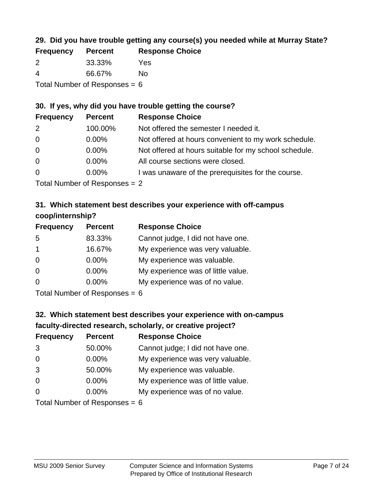## **29. Did you have trouble getting any course(s) you needed while at Murray State?**

| <b>Frequency</b>                | <b>Percent</b> | <b>Response Choice</b> |
|---------------------------------|----------------|------------------------|
| -2                              | 33.33%         | Yes                    |
| -4                              | 66.67%         | Nο                     |
| Total Number of Responses = $6$ |                |                        |

## **30. If yes, why did you have trouble getting the course?**

| <b>Frequency</b> | <b>Percent</b> | <b>Response Choice</b>                                |
|------------------|----------------|-------------------------------------------------------|
| 2                | 100.00%        | Not offered the semester I needed it.                 |
| $\overline{0}$   | $0.00\%$       | Not offered at hours convenient to my work schedule.  |
| $\overline{0}$   | $0.00\%$       | Not offered at hours suitable for my school schedule. |
| $\overline{0}$   | $0.00\%$       | All course sections were closed.                      |
| $\overline{0}$   | $0.00\%$       | I was unaware of the prerequisites for the course.    |
|                  |                |                                                       |

Total Number of Responses = 2

## **31. Which statement best describes your experience with off-campus coop/internship?**

| <b>Frequency</b>     | <b>Percent</b> | <b>Response Choice</b>             |
|----------------------|----------------|------------------------------------|
| 5                    | 83.33%         | Cannot judge, I did not have one.  |
| $\blacktriangleleft$ | 16.67%         | My experience was very valuable.   |
| $\Omega$             | $0.00\%$       | My experience was valuable.        |
| $\Omega$             | $0.00\%$       | My experience was of little value. |
| $\Omega$             | $0.00\%$       | My experience was of no value.     |
|                      |                |                                    |

Total Number of Responses = 6

# **32. Which statement best describes your experience with on-campus faculty-directed research, scholarly, or creative project?**

| <b>Frequency</b> | <b>Percent</b>              | <b>Response Choice</b>             |
|------------------|-----------------------------|------------------------------------|
| 3                | 50.00%                      | Cannot judge; I did not have one.  |
| $\overline{0}$   | $0.00\%$                    | My experience was very valuable.   |
| 3                | 50.00%                      | My experience was valuable.        |
| $\Omega$         | $0.00\%$                    | My experience was of little value. |
| $\Omega$         | $0.00\%$                    | My experience was of no value.     |
|                  | Total Number of Desponses C |                                    |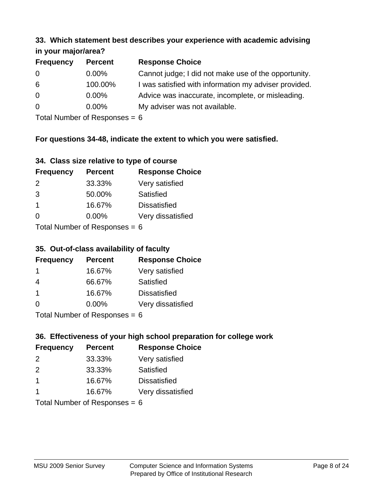#### **33. Which statement best describes your experience with academic advising in your major/area?**

| $\mathbf{u}$ yvu $\mathbf{u}$ yvu $\mathbf{v}$ |                |                                                       |
|------------------------------------------------|----------------|-------------------------------------------------------|
| <b>Frequency</b>                               | <b>Percent</b> | <b>Response Choice</b>                                |
| 0                                              | $0.00\%$       | Cannot judge; I did not make use of the opportunity.  |
| 6                                              | 100.00%        | I was satisfied with information my adviser provided. |
| $\overline{0}$                                 | 0.00%          | Advice was inaccurate, incomplete, or misleading.     |
| $\overline{0}$                                 | $0.00\%$       | My adviser was not available.                         |
|                                                |                |                                                       |

Total Number of Responses = 6

## **For questions 34-48, indicate the extent to which you were satisfied.**

| 34. Class size relative to type of course |
|-------------------------------------------|
|-------------------------------------------|

| <b>Frequency</b>              | <b>Percent</b> | <b>Response Choice</b> |  |
|-------------------------------|----------------|------------------------|--|
| $\mathcal{P}$                 | 33.33%         | Very satisfied         |  |
| 3                             | 50.00%         | Satisfied              |  |
| $\mathbf 1$                   | 16.67%         | <b>Dissatisfied</b>    |  |
| ∩                             | 0.00%          | Very dissatisfied      |  |
| $Total Number of Denonce - 6$ |                |                        |  |

Total Number of Responses = 6

### **35. Out-of-class availability of faculty**

| <b>Frequency</b> | <b>Percent</b> | <b>Response Choice</b> |
|------------------|----------------|------------------------|
|                  | 16.67%         | Very satisfied         |
| 4                | 66.67%         | Satisfied              |
| $\overline{1}$   | 16.67%         | <b>Dissatisfied</b>    |
| $\Omega$         | $0.00\%$       | Very dissatisfied      |
|                  |                |                        |

Total Number of Responses = 6

## **36. Effectiveness of your high school preparation for college work**

| <b>Frequency</b>              | <b>Percent</b> | <b>Response Choice</b> |  |
|-------------------------------|----------------|------------------------|--|
| 2                             | 33.33%         | Very satisfied         |  |
| $\mathcal{P}$                 | 33.33%         | Satisfied              |  |
| -1                            | 16.67%         | <b>Dissatisfied</b>    |  |
|                               | 16.67%         | Very dissatisfied      |  |
| $Total Number of Denonce - 6$ |                |                        |  |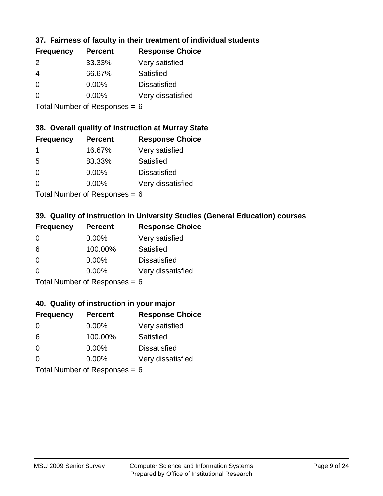## **37. Fairness of faculty in their treatment of individual students**

| <b>Frequency</b> | <b>Percent</b> | <b>Response Choice</b> |
|------------------|----------------|------------------------|
| 2                | 33.33%         | Very satisfied         |
| 4                | 66.67%         | Satisfied              |
| $\Omega$         | $0.00\%$       | <b>Dissatisfied</b>    |
| $\Omega$         | $0.00\%$       | Very dissatisfied      |
|                  |                |                        |

Total Number of Responses = 6

## **38. Overall quality of instruction at Murray State**

| <b>Frequency</b> | <b>Percent</b> | <b>Response Choice</b> |
|------------------|----------------|------------------------|
|                  | 16.67%         | Very satisfied         |
| .5               | 83.33%         | Satisfied              |
| $\Omega$         | $0.00\%$       | <b>Dissatisfied</b>    |
| ∩                | 0.00%          | Very dissatisfied      |
|                  |                |                        |

Total Number of Responses  $= 6$ 

## **39. Quality of instruction in University Studies (General Education) courses**

| <b>Frequency</b> | <b>Percent</b>            | <b>Response Choice</b> |
|------------------|---------------------------|------------------------|
| $\Omega$         | $0.00\%$                  | Very satisfied         |
| 6                | 100.00%                   | <b>Satisfied</b>       |
| $\Omega$         | 0.00%                     | <b>Dissatisfied</b>    |
| $\Omega$         | 0.00%                     | Very dissatisfied      |
|                  | Total Number of Deepersee |                        |

Total Number of Responses = 6

#### **40. Quality of instruction in your major**

| <b>Frequency</b>                | <b>Percent</b> | <b>Response Choice</b> |
|---------------------------------|----------------|------------------------|
| $\Omega$                        | $0.00\%$       | Very satisfied         |
| 6                               | 100.00%        | Satisfied              |
| $\Omega$                        | $0.00\%$       | <b>Dissatisfied</b>    |
| $\Omega$                        | $0.00\%$       | Very dissatisfied      |
| Total Number of Responses = $6$ |                |                        |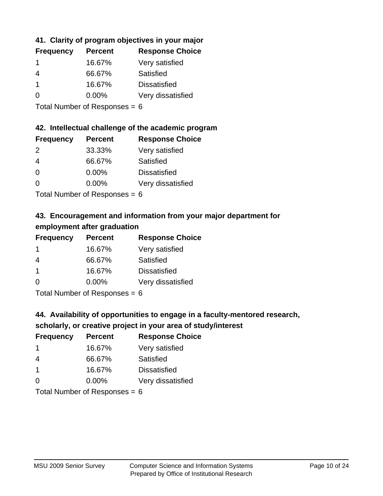## **41. Clarity of program objectives in your major**

| <b>Frequency</b> | <b>Percent</b> | <b>Response Choice</b> |
|------------------|----------------|------------------------|
|                  | 16.67%         | Very satisfied         |
| 4                | 66.67%         | Satisfied              |
|                  | 16.67%         | <b>Dissatisfied</b>    |
| O                | $0.00\%$       | Very dissatisfied      |
|                  |                |                        |

Total Number of Responses = 6

#### **42. Intellectual challenge of the academic program**

| <b>Frequency</b> | <b>Percent</b> | <b>Response Choice</b> |
|------------------|----------------|------------------------|
| $\mathcal{P}$    | 33.33%         | Very satisfied         |
| 4                | 66.67%         | Satisfied              |
| $\Omega$         | 0.00%          | <b>Dissatisfied</b>    |
| $\Omega$         | 0.00%          | Very dissatisfied      |
|                  |                |                        |

Total Number of Responses = 6

## **43. Encouragement and information from your major department for employment after graduation**

| <b>Frequency</b> | <b>Percent</b> | <b>Response Choice</b> |
|------------------|----------------|------------------------|
| -1               | 16.67%         | Very satisfied         |
| $\overline{4}$   | 66.67%         | Satisfied              |
| $\mathbf{1}$     | 16.67%         | <b>Dissatisfied</b>    |
| $\Omega$         | $0.00\%$       | Very dissatisfied      |
|                  |                |                        |

Total Number of Responses = 6

## **44. Availability of opportunities to engage in a faculty-mentored research,**

## **scholarly, or creative project in your area of study/interest**

| <b>Frequency</b> | <b>Percent</b> | <b>Response Choice</b> |
|------------------|----------------|------------------------|
|                  | 16.67%         | Very satisfied         |
| 4                | 66.67%         | Satisfied              |
|                  | 16.67%         | <b>Dissatisfied</b>    |
| $\Omega$         | 0.00%          | Very dissatisfied      |
|                  |                |                        |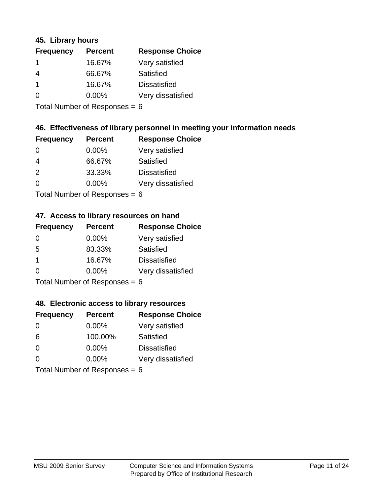#### **45. Library hours**

| <b>Frequency</b>     | <b>Percent</b> | <b>Response Choice</b> |
|----------------------|----------------|------------------------|
| 1                    | 16.67%         | Very satisfied         |
| 4                    | 66.67%         | Satisfied              |
| $\blacktriangleleft$ | 16.67%         | <b>Dissatisfied</b>    |
| 0                    | $0.00\%$       | Very dissatisfied      |
|                      |                |                        |

Total Number of Responses = 6

#### **46. Effectiveness of library personnel in meeting your information needs**

| <b>Frequency</b> | <b>Percent</b> | <b>Response Choice</b> |
|------------------|----------------|------------------------|
| 0                | $0.00\%$       | Very satisfied         |
| 4                | 66.67%         | Satisfied              |
| $\mathcal{P}$    | 33.33%         | <b>Dissatisfied</b>    |
| $\Omega$         | $0.00\%$       | Very dissatisfied      |
|                  |                |                        |

Total Number of Responses = 6

#### **47. Access to library resources on hand**

| <b>Frequency</b> | <b>Percent</b>             | <b>Response Choice</b> |
|------------------|----------------------------|------------------------|
| 0                | $0.00\%$                   | Very satisfied         |
| 5                | 83.33%                     | Satisfied              |
| $\mathbf 1$      | 16.67%                     | <b>Dissatisfied</b>    |
| $\Omega$         | 0.00%                      | Very dissatisfied      |
|                  | Total Number of Deepersoon |                        |

Total Number of Responses = 6

#### **48. Electronic access to library resources**

| <b>Frequency</b>                | <b>Percent</b> | <b>Response Choice</b> |
|---------------------------------|----------------|------------------------|
| $\Omega$                        | $0.00\%$       | Very satisfied         |
| 6                               | 100.00%        | Satisfied              |
| $\Omega$                        | $0.00\%$       | <b>Dissatisfied</b>    |
| $\Omega$                        | $0.00\%$       | Very dissatisfied      |
| Total Number of Responses = $6$ |                |                        |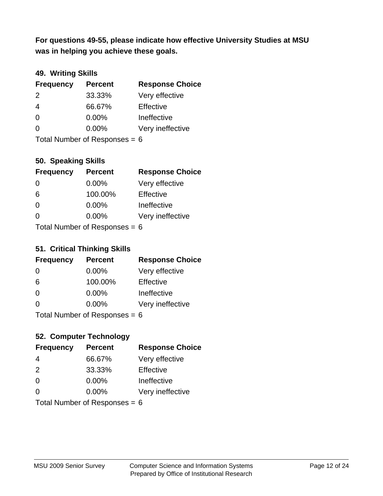**was in helping you achieve these goals. For questions 49-55, please indicate how effective University Studies at MSU** 

## **49. Writing Skills**

| <b>Frequency</b>                | <b>Percent</b> | <b>Response Choice</b> |
|---------------------------------|----------------|------------------------|
| $\mathcal{P}$                   | 33.33%         | Very effective         |
| 4                               | 66.67%         | Effective              |
| $\Omega$                        | 0.00%          | Ineffective            |
| $\Omega$                        | $0.00\%$       | Very ineffective       |
| Total Number of Responses = $6$ |                |                        |

## **50. Speaking Skills**

| <b>Frequency</b>              | <b>Percent</b> | <b>Response Choice</b> |
|-------------------------------|----------------|------------------------|
| $\Omega$                      | 0.00%          | Very effective         |
| 6                             | 100.00%        | Effective              |
| $\Omega$                      | 0.00%          | Ineffective            |
| 0                             | 0.00%          | Very ineffective       |
| $Total Number of Denonce - 6$ |                |                        |

Total Number of Responses  $= 6$ 

#### **51. Critical Thinking Skills**

| <b>Frequency</b>                | <b>Percent</b> | <b>Response Choice</b> |
|---------------------------------|----------------|------------------------|
| $\Omega$                        | $0.00\%$       | Very effective         |
| 6                               | 100.00%        | Effective              |
| $\Omega$                        | 0.00%          | Ineffective            |
| $\Omega$                        | 0.00%          | Very ineffective       |
| $Total$ Number of Despasses $-$ |                |                        |

Total Number of Responses = 6

## **52. Computer Technology**

| <b>Frequency</b>                | <b>Percent</b> | <b>Response Choice</b> |
|---------------------------------|----------------|------------------------|
| 4                               | 66.67%         | Very effective         |
| 2                               | 33.33%         | Effective              |
| $\Omega$                        | 0.00%          | Ineffective            |
| $\Omega$                        | $0.00\%$       | Very ineffective       |
| Total Number of Responses = $6$ |                |                        |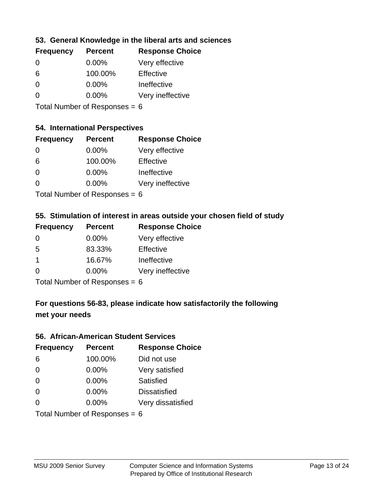## **53. General Knowledge in the liberal arts and sciences**

| <b>Frequency</b> | <b>Percent</b> | <b>Response Choice</b> |
|------------------|----------------|------------------------|
| $\Omega$         | $0.00\%$       | Very effective         |
| 6                | 100.00%        | Effective              |
| $\Omega$         | 0.00%          | Ineffective            |
| $\Omega$         | $0.00\%$       | Very ineffective       |
|                  |                |                        |

Total Number of Responses = 6

## **54. International Perspectives**

| <b>Frequency</b> | <b>Percent</b> | <b>Response Choice</b> |
|------------------|----------------|------------------------|
| $\Omega$         | 0.00%          | Very effective         |
| 6                | 100.00%        | Effective              |
| $\Omega$         | 0.00%          | Ineffective            |
| 0                | 0.00%          | Very ineffective       |
|                  |                |                        |

Total Number of Responses  $= 6$ 

# **55. Stimulation of interest in areas outside your chosen field of study**

| <b>Frequency</b> | <b>Percent</b>            | <b>Response Choice</b> |
|------------------|---------------------------|------------------------|
| $\Omega$         | $0.00\%$                  | Very effective         |
| .5               | 83.33%                    | Effective              |
| -1               | 16.67%                    | Ineffective            |
| $\Omega$         | 0.00%                     | Very ineffective       |
|                  | Total Number of Desponses |                        |

I otal Number of Responses  $= 6$ 

# **For questions 56-83, please indicate how satisfactorily the following met your needs**

#### **56. African-American Student Services**

| <b>Frequency</b>                | <b>Percent</b> | <b>Response Choice</b> |
|---------------------------------|----------------|------------------------|
| 6                               | 100.00%        | Did not use            |
| $\Omega$                        | 0.00%          | Very satisfied         |
| $\Omega$                        | 0.00%          | Satisfied              |
| $\Omega$                        | $0.00\%$       | <b>Dissatisfied</b>    |
| $\Omega$                        | 0.00%          | Very dissatisfied      |
| Total Number of Responses = $6$ |                |                        |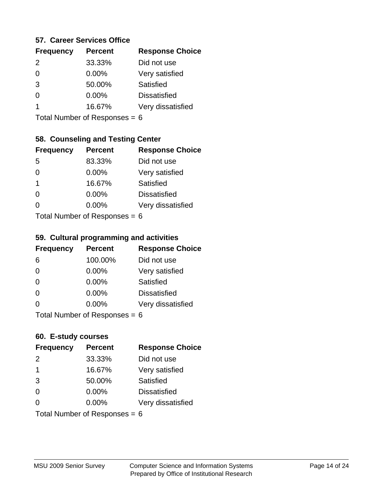#### **57. Career Services Office**

| <b>Frequency</b> | <b>Percent</b> | <b>Response Choice</b> |
|------------------|----------------|------------------------|
| $\mathcal{P}$    | 33.33%         | Did not use            |
|                  | 0.00%          | Very satisfied         |
| 3                | 50.00%         | Satisfied              |
|                  | $0.00\%$       | <b>Dissatisfied</b>    |
|                  | 16.67%         | Very dissatisfied      |
|                  |                |                        |

Total Number of Responses = 6

## **58. Counseling and Testing Center**

| <b>Frequency</b> | <b>Percent</b>            | <b>Response Choice</b> |
|------------------|---------------------------|------------------------|
| -5               | 83.33%                    | Did not use            |
| 0                | 0.00%                     | Very satisfied         |
| 1                | 16.67%                    | <b>Satisfied</b>       |
| 0                | 0.00%                     | <b>Dissatisfied</b>    |
| 0                | 0.00%                     | Very dissatisfied      |
|                  | Total Number of Despagnes |                        |

Total Number of Responses = 6

#### **59. Cultural programming and activities**

| <b>Frequency</b> | <b>Percent</b>                  | <b>Response Choice</b> |
|------------------|---------------------------------|------------------------|
| 6                | 100.00%                         | Did not use            |
| $\Omega$         | $0.00\%$                        | Very satisfied         |
| $\Omega$         | 0.00%                           | Satisfied              |
| $\Omega$         | $0.00\%$                        | <b>Dissatisfied</b>    |
| $\Omega$         | $0.00\%$                        | Very dissatisfied      |
|                  | Total Number of Responses = $6$ |                        |

#### **60. E-study courses**

| <b>Frequency</b>                | <b>Percent</b> | <b>Response Choice</b> |
|---------------------------------|----------------|------------------------|
| 2                               | 33.33%         | Did not use            |
| $\mathbf 1$                     | 16.67%         | Very satisfied         |
| 3                               | 50.00%         | Satisfied              |
| $\Omega$                        | 0.00%          | <b>Dissatisfied</b>    |
| $\Omega$                        | 0.00%          | Very dissatisfied      |
| Total Number of Responses = $6$ |                |                        |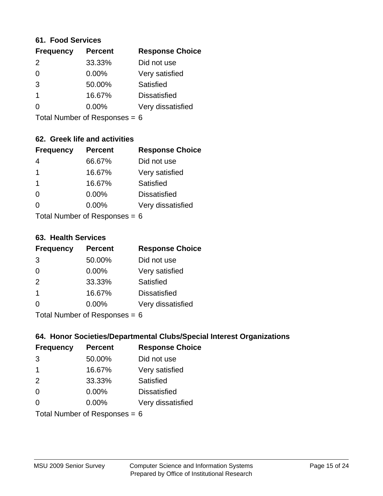#### **61. Food Services**

| <b>Frequency</b> | <b>Percent</b> | <b>Response Choice</b> |
|------------------|----------------|------------------------|
| $\mathcal{P}$    | 33.33%         | Did not use            |
| $\Omega$         | 0.00%          | Very satisfied         |
| 3                | 50.00%         | Satisfied              |
|                  | 16.67%         | <b>Dissatisfied</b>    |
| O                | $0.00\%$       | Very dissatisfied      |
|                  |                |                        |

Total Number of Responses = 6

## **62. Greek life and activities**

| <b>Frequency</b>                | <b>Percent</b> | <b>Response Choice</b> |
|---------------------------------|----------------|------------------------|
| 4                               | 66.67%         | Did not use            |
| 1                               | 16.67%         | Very satisfied         |
| 1                               | 16.67%         | Satisfied              |
| $\Omega$                        | 0.00%          | <b>Dissatisfied</b>    |
|                                 | $0.00\%$       | Very dissatisfied      |
| Total Number of Responses = $6$ |                |                        |

**63. Health Services**

| <b>Frequency</b> | <b>Percent</b>             | <b>Response Choice</b> |
|------------------|----------------------------|------------------------|
| 3                | 50.00%                     | Did not use            |
| 0                | $0.00\%$                   | Very satisfied         |
| 2                | 33.33%                     | <b>Satisfied</b>       |
| $\overline{1}$   | 16.67%                     | <b>Dissatisfied</b>    |
| $\Omega$         | 0.00%                      | Very dissatisfied      |
|                  | Tatal Number of Desperance |                        |

Total Number of Responses = 6

## **64. Honor Societies/Departmental Clubs/Special Interest Organizations**

| <b>Frequency</b> | <b>Percent</b>                  | <b>Response Choice</b> |
|------------------|---------------------------------|------------------------|
| 3                | 50.00%                          | Did not use            |
| $\mathbf 1$      | 16.67%                          | Very satisfied         |
| 2                | 33.33%                          | Satisfied              |
| $\Omega$         | 0.00%                           | <b>Dissatisfied</b>    |
| $\Omega$         | 0.00%                           | Very dissatisfied      |
|                  | Total Number of Responses = $6$ |                        |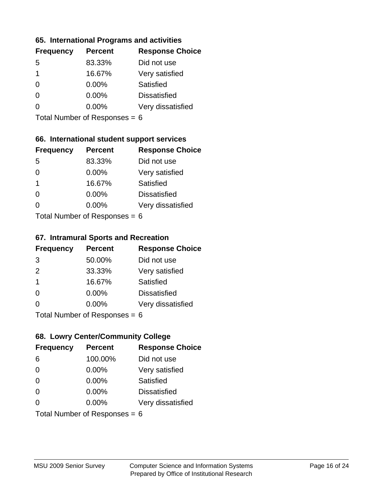#### **65. International Programs and activities**

| <b>Frequency</b> | <b>Percent</b> | <b>Response Choice</b> |
|------------------|----------------|------------------------|
| .5               | 83.33%         | Did not use            |
| 1                | 16.67%         | Very satisfied         |
| 0                | $0.00\%$       | Satisfied              |
|                  | $0.00\%$       | <b>Dissatisfied</b>    |
|                  | $0.00\%$       | Very dissatisfied      |
|                  |                |                        |

Total Number of Responses = 6

## **66. International student support services**

| <b>Frequency</b> | <b>Percent</b>            | <b>Response Choice</b> |
|------------------|---------------------------|------------------------|
| 5                | 83.33%                    | Did not use            |
| 0                | 0.00%                     | Very satisfied         |
| 1                | 16.67%                    | Satisfied              |
| ∩                | 0.00%                     | <b>Dissatisfied</b>    |
| 0                | 0.00%                     | Very dissatisfied      |
|                  | Total Number of Desponses |                        |

Total Number of Responses = 6

#### **67. Intramural Sports and Recreation**

| <b>Frequency</b> | <b>Percent</b>                  | <b>Response Choice</b> |
|------------------|---------------------------------|------------------------|
| 3                | 50.00%                          | Did not use            |
| 2                | 33.33%                          | Very satisfied         |
| $\mathbf 1$      | 16.67%                          | <b>Satisfied</b>       |
| $\Omega$         | $0.00\%$                        | <b>Dissatisfied</b>    |
| ∩                | $0.00\%$                        | Very dissatisfied      |
|                  | $Total$ Number of Despanses $-$ |                        |

Total Number of Responses = 6

## **68. Lowry Center/Community College**

| <b>Frequency</b> | <b>Percent</b>                  | <b>Response Choice</b> |
|------------------|---------------------------------|------------------------|
| 6                | 100.00%                         | Did not use            |
| $\Omega$         | 0.00%                           | Very satisfied         |
| $\Omega$         | 0.00%                           | Satisfied              |
| $\Omega$         | 0.00%                           | <b>Dissatisfied</b>    |
| 0                | $0.00\%$                        | Very dissatisfied      |
|                  | Total Number of Responses = $6$ |                        |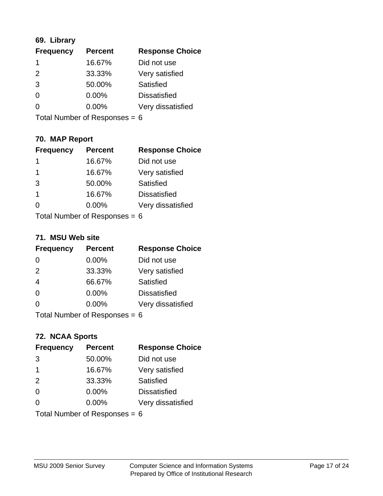## **69. Library**

| <b>Frequency</b> | <b>Percent</b> | <b>Response Choice</b> |
|------------------|----------------|------------------------|
|                  | 16.67%         | Did not use            |
| $\mathcal{P}$    | 33.33%         | Very satisfied         |
| 3                | 50.00%         | Satisfied              |
| 0                | $0.00\%$       | <b>Dissatisfied</b>    |
| O                | $0.00\%$       | Very dissatisfied      |
|                  |                |                        |

Total Number of Responses = 6

## **70. MAP Report**

| <b>Frequency</b>                | <b>Percent</b> | <b>Response Choice</b> |
|---------------------------------|----------------|------------------------|
| 1                               | 16.67%         | Did not use            |
| 1                               | 16.67%         | Very satisfied         |
| 3                               | 50.00%         | Satisfied              |
| 1                               | 16.67%         | <b>Dissatisfied</b>    |
| 0                               | $0.00\%$       | Very dissatisfied      |
| Total Number of Responses = $6$ |                |                        |

#### **71. MSU Web site**

| <b>Frequency</b> | <b>Percent</b>                  | <b>Response Choice</b> |
|------------------|---------------------------------|------------------------|
| $\Omega$         | $0.00\%$                        | Did not use            |
| 2                | 33.33%                          | Very satisfied         |
| $\overline{4}$   | 66.67%                          | Satisfied              |
| $\Omega$         | 0.00%                           | <b>Dissatisfied</b>    |
| $\Omega$         | 0.00%                           | Very dissatisfied      |
|                  | Total Number of Responses = $6$ |                        |

## **72. NCAA Sports**

| <b>Frequency</b> | <b>Percent</b>                  | <b>Response Choice</b> |
|------------------|---------------------------------|------------------------|
| 3                | 50.00%                          | Did not use            |
| -1               | 16.67%                          | Very satisfied         |
| 2                | 33.33%                          | Satisfied              |
| $\Omega$         | 0.00%                           | <b>Dissatisfied</b>    |
| ∩                | $0.00\%$                        | Very dissatisfied      |
|                  | Total Number of Responses = $6$ |                        |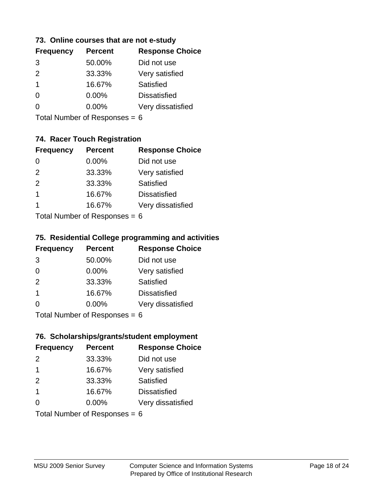#### **73. Online courses that are not e-study**

| <b>Frequency</b> | <b>Percent</b> | <b>Response Choice</b> |
|------------------|----------------|------------------------|
| 3                | 50.00%         | Did not use            |
| $\mathcal{P}$    | 33.33%         | Very satisfied         |
| 1                | 16.67%         | Satisfied              |
|                  | 0.00%          | <b>Dissatisfied</b>    |
|                  | $0.00\%$       | Very dissatisfied      |
|                  |                |                        |

Total Number of Responses = 6

## **74. Racer Touch Registration**

| <b>Frequency</b>           | <b>Percent</b> | <b>Response Choice</b> |
|----------------------------|----------------|------------------------|
| 0                          | 0.00%          | Did not use            |
| 2                          | 33.33%         | Very satisfied         |
| 2                          | 33.33%         | <b>Satisfied</b>       |
| 1                          | 16.67%         | <b>Dissatisfied</b>    |
|                            | 16.67%         | Very dissatisfied      |
| Tatal Number of Desperance |                |                        |

Total Number of Responses = 6

#### **75. Residential College programming and activities**

| <b>Frequency</b>            | <b>Percent</b> | <b>Response Choice</b> |
|-----------------------------|----------------|------------------------|
| 3                           | 50.00%         | Did not use            |
| $\Omega$                    | $0.00\%$       | Very satisfied         |
| 2                           | 33.33%         | Satisfied              |
| -1                          | 16.67%         | <b>Dissatisfied</b>    |
| $\Omega$                    | 0.00%          | Very dissatisfied      |
| Total Number of Desponses C |                |                        |

Total Number of Responses = 6

#### **76. Scholarships/grants/student employment**

| <b>Frequency</b>                | <b>Percent</b> | <b>Response Choice</b> |
|---------------------------------|----------------|------------------------|
| $\mathcal{P}$                   | 33.33%         | Did not use            |
| $\mathbf 1$                     | 16.67%         | Very satisfied         |
| 2                               | 33.33%         | Satisfied              |
| $\overline{\mathbf{1}}$         | 16.67%         | <b>Dissatisfied</b>    |
| $\Omega$                        | $0.00\%$       | Very dissatisfied      |
| Total Number of Responses = $6$ |                |                        |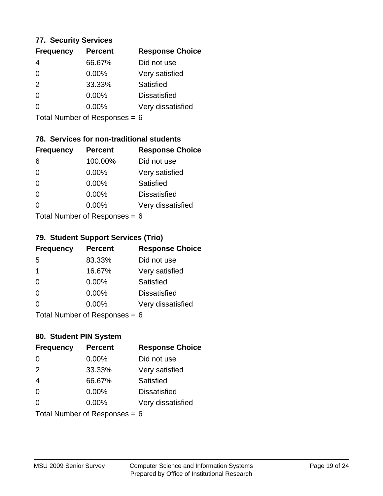#### **77. Security Services**

| <b>Frequency</b> | <b>Percent</b> | <b>Response Choice</b> |
|------------------|----------------|------------------------|
| 4                | 66.67%         | Did not use            |
| 0                | $0.00\%$       | Very satisfied         |
| $\mathcal{P}$    | 33.33%         | Satisfied              |
| 0                | $0.00\%$       | <b>Dissatisfied</b>    |
|                  | $0.00\%$       | Very dissatisfied      |
|                  |                |                        |

Total Number of Responses = 6

## **78. Services for non-traditional students**

| <b>Frequency</b>          | <b>Percent</b> | <b>Response Choice</b> |
|---------------------------|----------------|------------------------|
| 6                         | 100.00%        | Did not use            |
| $\Omega$                  | 0.00%          | Very satisfied         |
| $\Omega$                  | 0.00%          | Satisfied              |
| $\Omega$                  | 0.00%          | <b>Dissatisfied</b>    |
| 0                         | $0.00\%$       | Very dissatisfied      |
| Total Number of Desponses |                |                        |

Total Number of Responses = 6

#### **79. Student Support Services (Trio)**

| <b>Frequency</b>          | <b>Percent</b> | <b>Response Choice</b> |
|---------------------------|----------------|------------------------|
| -5                        | 83.33%         | Did not use            |
| -1                        | 16.67%         | Very satisfied         |
| $\Omega$                  | $0.00\%$       | Satisfied              |
| $\Omega$                  | $0.00\%$       | <b>Dissatisfied</b>    |
| $\Omega$                  | 0.00%          | Very dissatisfied      |
| Total Number of Desponses |                |                        |

Total Number of Responses = 6

#### **80. Student PIN System**

| <b>Frequency</b>                | <b>Percent</b> | <b>Response Choice</b> |
|---------------------------------|----------------|------------------------|
| $\Omega$                        | 0.00%          | Did not use            |
| 2                               | 33.33%         | Very satisfied         |
| $\overline{4}$                  | 66.67%         | Satisfied              |
| $\Omega$                        | $0.00\%$       | <b>Dissatisfied</b>    |
| 0                               | 0.00%          | Very dissatisfied      |
| Total Number of Responses = $6$ |                |                        |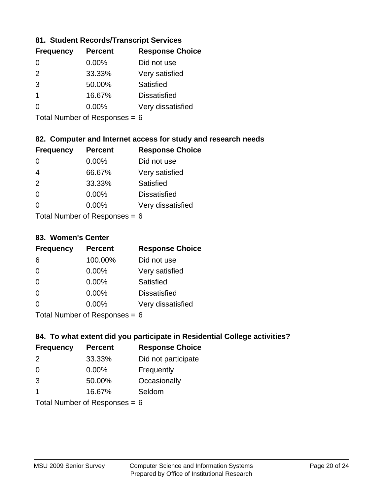## **81. Student Records/Transcript Services**

| <b>Percent</b> | <b>Response Choice</b> |
|----------------|------------------------|
| 0.00%          | Did not use            |
| 33.33%         | Very satisfied         |
| 50.00%         | Satisfied              |
| 16.67%         | <b>Dissatisfied</b>    |
| 0.00%          | Very dissatisfied      |
|                |                        |

Total Number of Responses = 6

## **82. Computer and Internet access for study and research needs**

| <b>Frequency</b>           | <b>Percent</b> | <b>Response Choice</b> |
|----------------------------|----------------|------------------------|
| 0                          | 0.00%          | Did not use            |
| 4                          | 66.67%         | Very satisfied         |
| 2                          | 33.33%         | Satisfied              |
| $\Omega$                   | 0.00%          | <b>Dissatisfied</b>    |
| ∩                          | 0.00%          | Very dissatisfied      |
| Tatal Manada and Dannanana |                |                        |

Total Number of Responses = 6

#### **83. Women's Center**

| <b>Frequency</b>          | <b>Percent</b> | <b>Response Choice</b> |
|---------------------------|----------------|------------------------|
| 6                         | 100.00%        | Did not use            |
| $\Omega$                  | $0.00\%$       | Very satisfied         |
| $\Omega$                  | $0.00\%$       | Satisfied              |
| $\Omega$                  | 0.00%          | <b>Dissatisfied</b>    |
| $\Omega$                  | 0.00%          | Very dissatisfied      |
| Total Number of Despenses |                |                        |

Total Number of Responses = 6

## **84. To what extent did you participate in Residential College activities?**

| <b>Frequency</b> | <b>Percent</b>               | <b>Response Choice</b> |
|------------------|------------------------------|------------------------|
| $\mathcal{P}$    | 33.33%                       | Did not participate    |
| $\Omega$         | 0.00%                        | Frequently             |
| 3                | 50.00%                       | Occasionally           |
|                  | 16.67%                       | Seldom                 |
|                  | $Total Number of Denonone -$ |                        |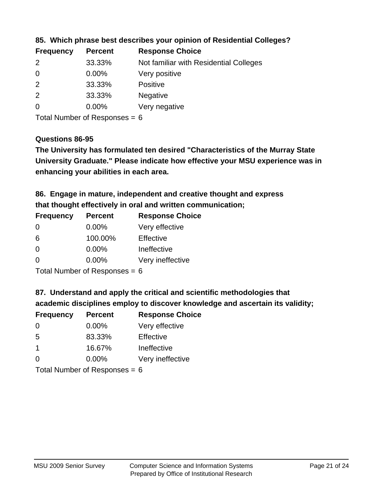| <b>Frequency</b> | <b>Percent</b> | <b>Response Choice</b>                 |
|------------------|----------------|----------------------------------------|
| $\mathcal{P}$    | 33.33%         | Not familiar with Residential Colleges |
| $\overline{0}$   | $0.00\%$       | Very positive                          |
| -2               | 33.33%         | <b>Positive</b>                        |
| -2               | 33.33%         | <b>Negative</b>                        |
| $\overline{0}$   | $0.00\%$       | Very negative                          |

### **85. Which phrase best describes your opinion of Residential Colleges?**

Total Number of Responses = 6

#### **Questions 86-95**

**University Graduate." Please indicate how effective your MSU experience was in The University has formulated ten desired "Characteristics of the Murray State enhancing your abilities in each area.**

# **86. Engage in mature, independent and creative thought and express that thought effectively in oral and written communication;**

| <b>Percent</b> | <b>Response Choice</b> |
|----------------|------------------------|
| $0.00\%$       | Very effective         |
| 100.00%        | Effective              |
| 0.00%          | Ineffective            |
| 0.00%          | Very ineffective       |
|                |                        |

Total Number of Responses = 6

#### **87. Understand and apply the critical and scientific methodologies that**

**academic disciplines employ to discover knowledge and ascertain its validity;**

| <b>Frequency</b> | <b>Percent</b>             | <b>Response Choice</b> |
|------------------|----------------------------|------------------------|
| $\Omega$         | $0.00\%$                   | Very effective         |
| 5                | 83.33%                     | Effective              |
| $\overline{1}$   | 16.67%                     | Ineffective            |
| $\Omega$         | 0.00%                      | Very ineffective       |
|                  | Total Number of Desperance |                        |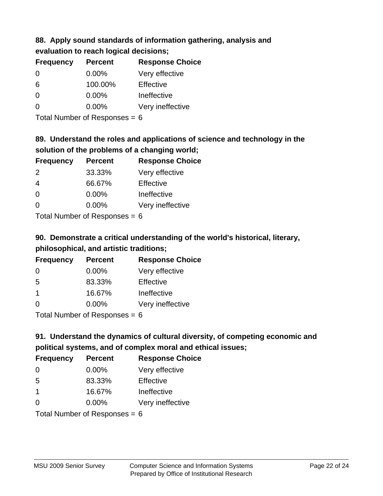# **88. Apply sound standards of information gathering, analysis and**

| evaluation to reach logical decisions; |  |
|----------------------------------------|--|
|----------------------------------------|--|

| <b>Frequency</b> | <b>Percent</b> | <b>Response Choice</b> |
|------------------|----------------|------------------------|
| 0                | $0.00\%$       | Very effective         |
| 6                | 100.00%        | Effective              |
| $\Omega$         | $0.00\%$       | Ineffective            |
| $\Omega$         | $0.00\%$       | Very ineffective       |

Total Number of Responses = 6

# **89. Understand the roles and applications of science and technology in the solution of the problems of a changing world;**

| <b>Frequency</b> | <b>Percent</b> | <b>Response Choice</b> |
|------------------|----------------|------------------------|
| 2                | 33.33%         | Very effective         |
| $\overline{4}$   | 66.67%         | Effective              |
| $\Omega$         | 0.00%          | Ineffective            |
| $\Omega$         | 0.00%          | Very ineffective       |
|                  |                |                        |

Total Number of Responses = 6

# **90. Demonstrate a critical understanding of the world's historical, literary, philosophical, and artistic traditions;**

| <b>Frequency</b> | <b>Percent</b> | <b>Response Choice</b> |
|------------------|----------------|------------------------|
| $\Omega$         | $0.00\%$       | Very effective         |
| 5                | 83.33%         | Effective              |
| -1               | 16.67%         | Ineffective            |
| $\Omega$         | 0.00%          | Very ineffective       |
|                  |                |                        |

Total Number of Responses = 6

# **91. Understand the dynamics of cultural diversity, of competing economic and political systems, and of complex moral and ethical issues;**

| <b>Frequency</b>                | <b>Percent</b> | <b>Response Choice</b> |
|---------------------------------|----------------|------------------------|
| $\Omega$                        | $0.00\%$       | Very effective         |
| 5                               | 83.33%         | Effective              |
| $\mathbf 1$                     | 16.67%         | Ineffective            |
| $\Omega$                        | $0.00\%$       | Very ineffective       |
| Total Number of Responses = $6$ |                |                        |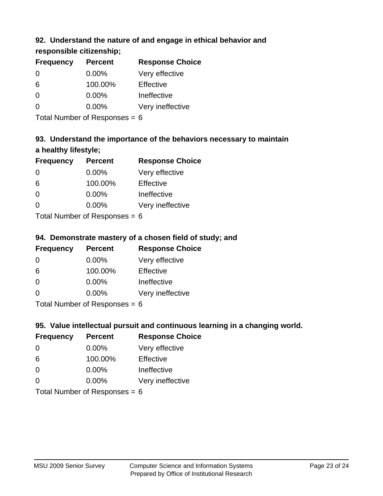## **92. Understand the nature of and engage in ethical behavior and**

## **responsible citizenship;**

| <b>Frequency</b> | <b>Percent</b> | <b>Response Choice</b> |
|------------------|----------------|------------------------|
| $\Omega$         | $0.00\%$       | Very effective         |
| 6                | 100.00%        | Effective              |
| 0                | 0.00%          | Ineffective            |
| ∩                | $0.00\%$       | Very ineffective       |

Total Number of Responses = 6

# **93. Understand the importance of the behaviors necessary to maintain a healthy lifestyle;**

| <b>Frequency</b> | <b>Percent</b> | <b>Response Choice</b> |
|------------------|----------------|------------------------|
| $\Omega$         | 0.00%          | Very effective         |
| 6                | 100.00%        | Effective              |
| $\Omega$         | $0.00\%$       | Ineffective            |
| $\Omega$         | 0.00%          | Very ineffective       |
|                  |                |                        |

Total Number of Responses = 6

## **94. Demonstrate mastery of a chosen field of study; and**

| <b>Frequency</b> | <b>Percent</b> | <b>Response Choice</b> |
|------------------|----------------|------------------------|
| $\Omega$         | $0.00\%$       | Very effective         |
| 6                | 100.00%        | Effective              |
| $\Omega$         | $0.00\%$       | Ineffective            |
| $\Omega$         | 0.00%          | Very ineffective       |
|                  |                |                        |

Total Number of Responses = 6

## **95. Value intellectual pursuit and continuous learning in a changing world.**

| <b>Frequency</b> | <b>Percent</b> | <b>Response Choice</b> |
|------------------|----------------|------------------------|
| $\Omega$         | 0.00%          | Very effective         |
| 6                | 100.00%        | Effective              |
| 0                | 0.00%          | Ineffective            |
| 0                | 0.00%          | Very ineffective       |
|                  |                |                        |